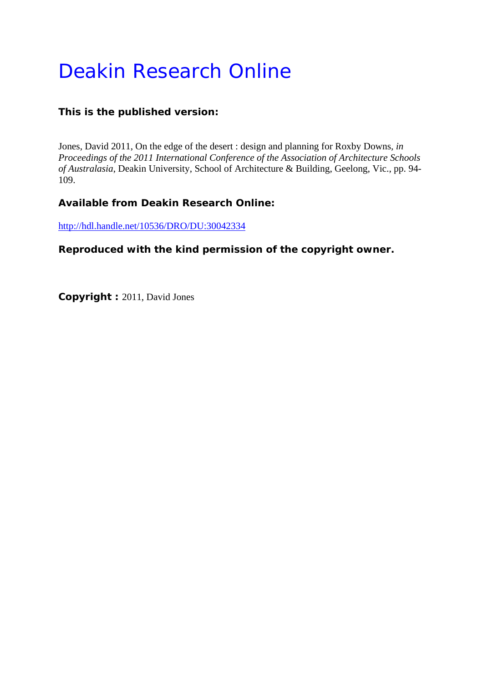# Deakin Research Online

# **This is the published version:**

Jones, David 2011, On the edge of the desert : design and planning for Roxby Downs*, in Proceedings of the 2011 International Conference of the Association of Architecture Schools of Australasia*, Deakin University, School of Architecture & Building, Geelong, Vic., pp. 94- 109.

# **Available from Deakin Research Online:**

http://hdl.handle.net/10536/DRO/DU:30042334

**Reproduced with the kind permission of the copyright owner.** 

**Copyright :** 2011, David Jones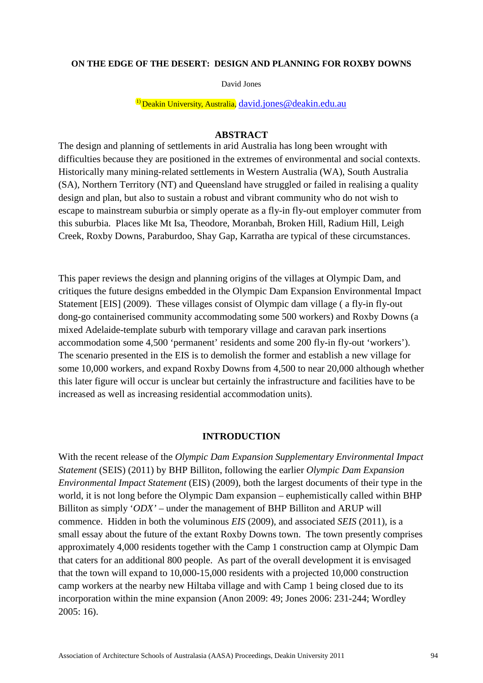#### **ON THE EDGE OF THE DESERT: DESIGN AND PLANNING FOR ROXBY DOWNS**

David Jones

 $\overline{^{1}}$ Deakin University, Australia, david.jones @deakin.edu.au

#### **ABSTRACT**

The design and planning of settlements in arid Australia has long been wrought with difficulties because they are positioned in the extremes of environmental and social contexts. Historically many mining-related settlements in Western Australia (WA), South Australia (SA), Northern Territory (NT) and Queensland have struggled or failed in realising a quality design and plan, but also to sustain a robust and vibrant community who do not wish to escape to mainstream suburbia or simply operate as a fly-in fly-out employer commuter from this suburbia. Places like Mt Isa, Theodore, Moranbah, Broken Hill, Radium Hill, Leigh Creek, Roxby Downs, Paraburdoo, Shay Gap, Karratha are typical of these circumstances.

This paper reviews the design and planning origins of the villages at Olympic Dam, and critiques the future designs embedded in the Olympic Dam Expansion Environmental Impact Statement [EIS] (2009). These villages consist of Olympic dam village ( a fly-in fly-out dong-go containerised community accommodating some 500 workers) and Roxby Downs (a mixed Adelaide-template suburb with temporary village and caravan park insertions accommodation some 4,500 'permanent' residents and some 200 fly-in fly-out 'workers'). The scenario presented in the EIS is to demolish the former and establish a new village for some 10,000 workers, and expand Roxby Downs from 4,500 to near 20,000 although whether this later figure will occur is unclear but certainly the infrastructure and facilities have to be increased as well as increasing residential accommodation units).

#### **INTRODUCTION**

With the recent release of the *Olympic Dam Expansion Supplementary Environmental Impact Statement* (SEIS) (2011) by BHP Billiton, following the earlier *Olympic Dam Expansion Environmental Impact Statement* (EIS) (2009), both the largest documents of their type in the world, it is not long before the Olympic Dam expansion – euphemistically called within BHP Billiton as simply '*ODX'* – under the management of BHP Billiton and ARUP will commence. Hidden in both the voluminous *EIS* (2009), and associated *SEIS* (2011), is a small essay about the future of the extant Roxby Downs town. The town presently comprises approximately 4,000 residents together with the Camp 1 construction camp at Olympic Dam that caters for an additional 800 people. As part of the overall development it is envisaged that the town will expand to 10,000-15,000 residents with a projected 10,000 construction camp workers at the nearby new Hiltaba village and with Camp 1 being closed due to its incorporation within the mine expansion (Anon 2009: 49; Jones 2006: 231-244; Wordley 2005: 16).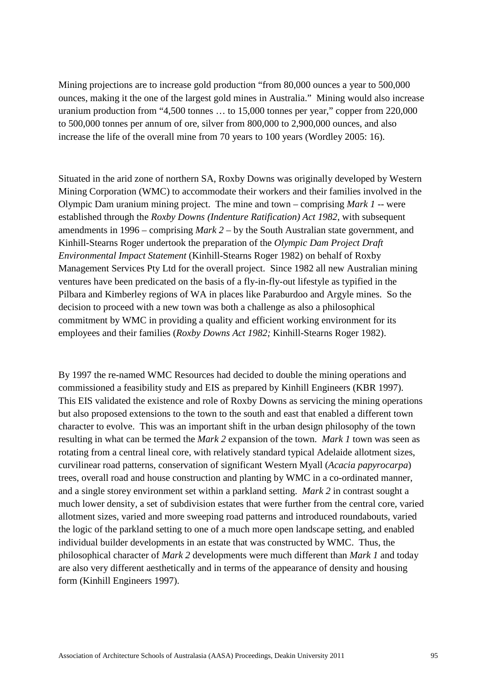Mining projections are to increase gold production "from 80,000 ounces a year to 500,000 ounces, making it the one of the largest gold mines in Australia." Mining would also increase uranium production from "4,500 tonnes … to 15,000 tonnes per year," copper from 220,000 to 500,000 tonnes per annum of ore, silver from 800,000 to 2,900,000 ounces, and also increase the life of the overall mine from 70 years to 100 years (Wordley 2005: 16).

Situated in the arid zone of northern SA, Roxby Downs was originally developed by Western Mining Corporation (WMC) to accommodate their workers and their families involved in the Olympic Dam uranium mining project. The mine and town – comprising *Mark 1* -- were established through the *Roxby Downs (Indenture Ratification) Act 1982*, with subsequent amendments in 1996 – comprising *Mark 2* – by the South Australian state government, and Kinhill-Stearns Roger undertook the preparation of the *Olympic Dam Project Draft Environmental Impact Statement* (Kinhill-Stearns Roger 1982) on behalf of Roxby Management Services Pty Ltd for the overall project. Since 1982 all new Australian mining ventures have been predicated on the basis of a fly-in-fly-out lifestyle as typified in the Pilbara and Kimberley regions of WA in places like Paraburdoo and Argyle mines. So the decision to proceed with a new town was both a challenge as also a philosophical commitment by WMC in providing a quality and efficient working environment for its employees and their families (*Roxby Downs Act 1982;* Kinhill-Stearns Roger 1982).

By 1997 the re-named WMC Resources had decided to double the mining operations and commissioned a feasibility study and EIS as prepared by Kinhill Engineers (KBR 1997). This EIS validated the existence and role of Roxby Downs as servicing the mining operations but also proposed extensions to the town to the south and east that enabled a different town character to evolve. This was an important shift in the urban design philosophy of the town resulting in what can be termed the *Mark 2* expansion of the town. *Mark 1* town was seen as rotating from a central lineal core, with relatively standard typical Adelaide allotment sizes, curvilinear road patterns, conservation of significant Western Myall (*Acacia papyrocarpa*) trees, overall road and house construction and planting by WMC in a co-ordinated manner, and a single storey environment set within a parkland setting. *Mark 2* in contrast sought a much lower density, a set of subdivision estates that were further from the central core, varied allotment sizes, varied and more sweeping road patterns and introduced roundabouts, varied the logic of the parkland setting to one of a much more open landscape setting, and enabled individual builder developments in an estate that was constructed by WMC. Thus, the philosophical character of *Mark 2* developments were much different than *Mark 1* and today are also very different aesthetically and in terms of the appearance of density and housing form (Kinhill Engineers 1997).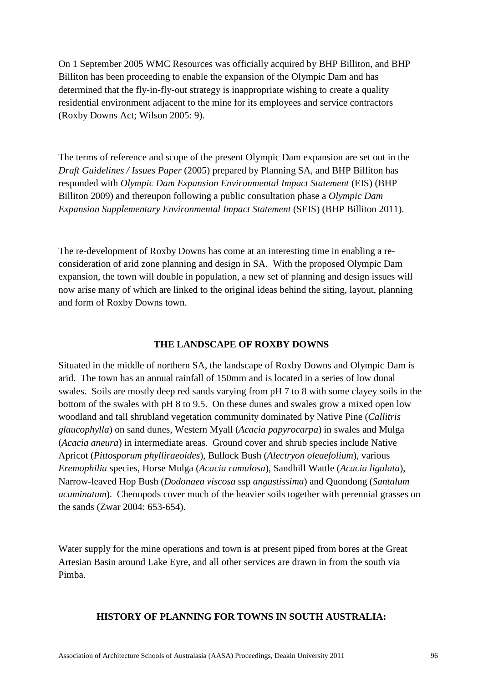On 1 September 2005 WMC Resources was officially acquired by BHP Billiton, and BHP Billiton has been proceeding to enable the expansion of the Olympic Dam and has determined that the fly-in-fly-out strategy is inappropriate wishing to create a quality residential environment adjacent to the mine for its employees and service contractors (Roxby Downs Act; Wilson 2005: 9).

The terms of reference and scope of the present Olympic Dam expansion are set out in the *Draft Guidelines / Issues Paper* (2005) prepared by Planning SA, and BHP Billiton has responded with *Olympic Dam Expansion Environmental Impact Statement* (EIS) (BHP Billiton 2009) and thereupon following a public consultation phase a *Olympic Dam Expansion Supplementary Environmental Impact Statement* (SEIS) (BHP Billiton 2011).

The re-development of Roxby Downs has come at an interesting time in enabling a reconsideration of arid zone planning and design in SA. With the proposed Olympic Dam expansion, the town will double in population, a new set of planning and design issues will now arise many of which are linked to the original ideas behind the siting, layout, planning and form of Roxby Downs town.

## **THE LANDSCAPE OF ROXBY DOWNS**

Situated in the middle of northern SA, the landscape of Roxby Downs and Olympic Dam is arid. The town has an annual rainfall of 150mm and is located in a series of low dunal swales. Soils are mostly deep red sands varying from pH 7 to 8 with some clayey soils in the bottom of the swales with pH 8 to 9.5. On these dunes and swales grow a mixed open low woodland and tall shrubland vegetation community dominated by Native Pine (*Callitris glaucophylla*) on sand dunes, Western Myall (*Acacia papyrocarpa*) in swales and Mulga (*Acacia aneura*) in intermediate areas. Ground cover and shrub species include Native Apricot (*Pittosporum phylliraeoides*), Bullock Bush (*Alectryon oleaefolium*), various *Eremophilia* species, Horse Mulga (*Acacia ramulosa*), Sandhill Wattle (*Acacia ligulata*), Narrow-leaved Hop Bush (*Dodonaea viscosa* ssp *angustissima*) and Quondong (*Santalum acuminatum*). Chenopods cover much of the heavier soils together with perennial grasses on the sands (Zwar 2004: 653-654).

Water supply for the mine operations and town is at present piped from bores at the Great Artesian Basin around Lake Eyre, and all other services are drawn in from the south via Pimba.

## **HISTORY OF PLANNING FOR TOWNS IN SOUTH AUSTRALIA:**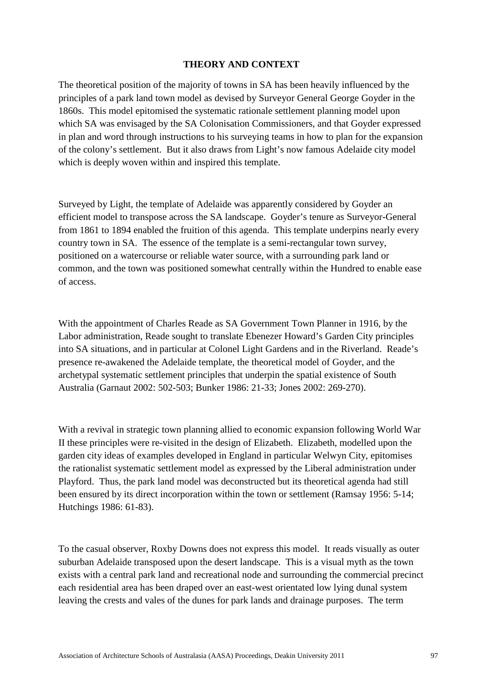#### **THEORY AND CONTEXT**

The theoretical position of the majority of towns in SA has been heavily influenced by the principles of a park land town model as devised by Surveyor General George Goyder in the 1860s. This model epitomised the systematic rationale settlement planning model upon which SA was envisaged by the SA Colonisation Commissioners, and that Goyder expressed in plan and word through instructions to his surveying teams in how to plan for the expansion of the colony's settlement. But it also draws from Light's now famous Adelaide city model which is deeply woven within and inspired this template.

Surveyed by Light, the template of Adelaide was apparently considered by Goyder an efficient model to transpose across the SA landscape. Goyder's tenure as Surveyor-General from 1861 to 1894 enabled the fruition of this agenda. This template underpins nearly every country town in SA. The essence of the template is a semi-rectangular town survey, positioned on a watercourse or reliable water source, with a surrounding park land or common, and the town was positioned somewhat centrally within the Hundred to enable ease of access.

With the appointment of Charles Reade as SA Government Town Planner in 1916, by the Labor administration, Reade sought to translate Ebenezer Howard's Garden City principles into SA situations, and in particular at Colonel Light Gardens and in the Riverland. Reade's presence re-awakened the Adelaide template, the theoretical model of Goyder, and the archetypal systematic settlement principles that underpin the spatial existence of South Australia (Garnaut 2002: 502-503; Bunker 1986: 21-33; Jones 2002: 269-270).

With a revival in strategic town planning allied to economic expansion following World War II these principles were re-visited in the design of Elizabeth. Elizabeth, modelled upon the garden city ideas of examples developed in England in particular Welwyn City, epitomises the rationalist systematic settlement model as expressed by the Liberal administration under Playford. Thus, the park land model was deconstructed but its theoretical agenda had still been ensured by its direct incorporation within the town or settlement (Ramsay 1956: 5-14; Hutchings 1986: 61-83).

To the casual observer, Roxby Downs does not express this model. It reads visually as outer suburban Adelaide transposed upon the desert landscape. This is a visual myth as the town exists with a central park land and recreational node and surrounding the commercial precinct each residential area has been draped over an east-west orientated low lying dunal system leaving the crests and vales of the dunes for park lands and drainage purposes. The term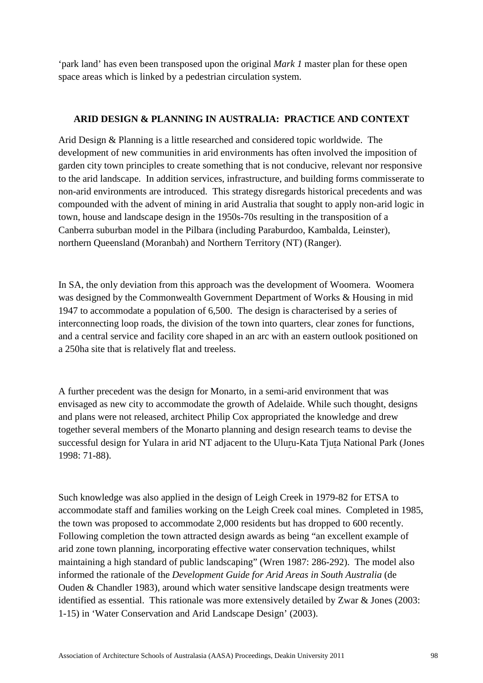'park land' has even been transposed upon the original *Mark 1* master plan for these open space areas which is linked by a pedestrian circulation system.

## **ARID DESIGN & PLANNING IN AUSTRALIA: PRACTICE AND CONTEXT**

Arid Design & Planning is a little researched and considered topic worldwide. The development of new communities in arid environments has often involved the imposition of garden city town principles to create something that is not conducive, relevant nor responsive to the arid landscape. In addition services, infrastructure, and building forms commisserate to non-arid environments are introduced. This strategy disregards historical precedents and was compounded with the advent of mining in arid Australia that sought to apply non-arid logic in town, house and landscape design in the 1950s-70s resulting in the transposition of a Canberra suburban model in the Pilbara (including Paraburdoo, Kambalda, Leinster), northern Queensland (Moranbah) and Northern Territory (NT) (Ranger).

In SA, the only deviation from this approach was the development of Woomera. Woomera was designed by the Commonwealth Government Department of Works & Housing in mid 1947 to accommodate a population of 6,500. The design is characterised by a series of interconnecting loop roads, the division of the town into quarters, clear zones for functions, and a central service and facility core shaped in an arc with an eastern outlook positioned on a 250ha site that is relatively flat and treeless.

A further precedent was the design for Monarto, in a semi-arid environment that was envisaged as new city to accommodate the growth of Adelaide. While such thought, designs and plans were not released, architect Philip Cox appropriated the knowledge and drew together several members of the Monarto planning and design research teams to devise the successful design for Yulara in arid NT adjacent to the Uluru-Kata Tjuta National Park (Jones 1998: 71-88).

Such knowledge was also applied in the design of Leigh Creek in 1979-82 for ETSA to accommodate staff and families working on the Leigh Creek coal mines. Completed in 1985, the town was proposed to accommodate 2,000 residents but has dropped to 600 recently. Following completion the town attracted design awards as being "an excellent example of arid zone town planning, incorporating effective water conservation techniques, whilst maintaining a high standard of public landscaping" (Wren 1987: 286-292). The model also informed the rationale of the *Development Guide for Arid Areas in South Australia* (de Ouden & Chandler 1983), around which water sensitive landscape design treatments were identified as essential. This rationale was more extensively detailed by Zwar & Jones (2003: 1-15) in 'Water Conservation and Arid Landscape Design' (2003).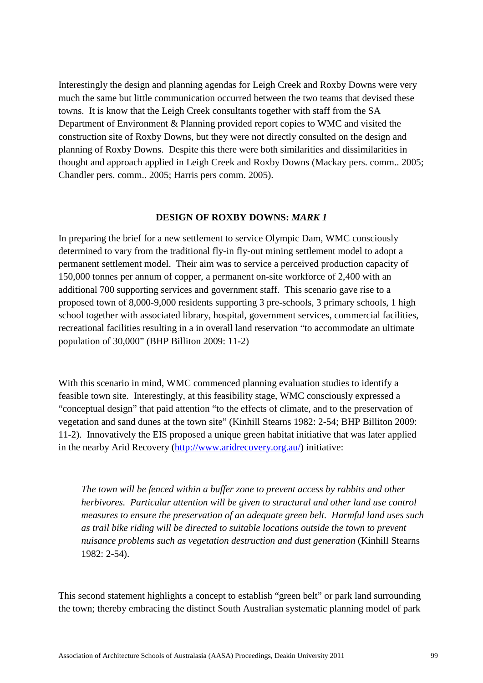Interestingly the design and planning agendas for Leigh Creek and Roxby Downs were very much the same but little communication occurred between the two teams that devised these towns. It is know that the Leigh Creek consultants together with staff from the SA Department of Environment & Planning provided report copies to WMC and visited the construction site of Roxby Downs, but they were not directly consulted on the design and planning of Roxby Downs. Despite this there were both similarities and dissimilarities in thought and approach applied in Leigh Creek and Roxby Downs (Mackay pers. comm.. 2005; Chandler pers. comm.. 2005; Harris pers comm. 2005).

#### **DESIGN OF ROXBY DOWNS:** *MARK 1*

In preparing the brief for a new settlement to service Olympic Dam, WMC consciously determined to vary from the traditional fly-in fly-out mining settlement model to adopt a permanent settlement model. Their aim was to service a perceived production capacity of 150,000 tonnes per annum of copper, a permanent on-site workforce of 2,400 with an additional 700 supporting services and government staff. This scenario gave rise to a proposed town of 8,000-9,000 residents supporting 3 pre-schools, 3 primary schools, 1 high school together with associated library, hospital, government services, commercial facilities, recreational facilities resulting in a in overall land reservation "to accommodate an ultimate population of 30,000" (BHP Billiton 2009: 11-2)

With this scenario in mind, WMC commenced planning evaluation studies to identify a feasible town site. Interestingly, at this feasibility stage, WMC consciously expressed a "conceptual design" that paid attention "to the effects of climate, and to the preservation of vegetation and sand dunes at the town site" (Kinhill Stearns 1982: 2-54; BHP Billiton 2009: 11-2). Innovatively the EIS proposed a unique green habitat initiative that was later applied in the nearby Arid Recovery [\(http://www.aridrecovery.org.au/\)](http://www.aridrecovery.org.au/) initiative:

*The town will be fenced within a buffer zone to prevent access by rabbits and other herbivores. Particular attention will be given to structural and other land use control measures to ensure the preservation of an adequate green belt. Harmful land uses such as trail bike riding will be directed to suitable locations outside the town to prevent nuisance problems such as vegetation destruction and dust generation* (Kinhill Stearns 1982: 2-54).

This second statement highlights a concept to establish "green belt" or park land surrounding the town; thereby embracing the distinct South Australian systematic planning model of park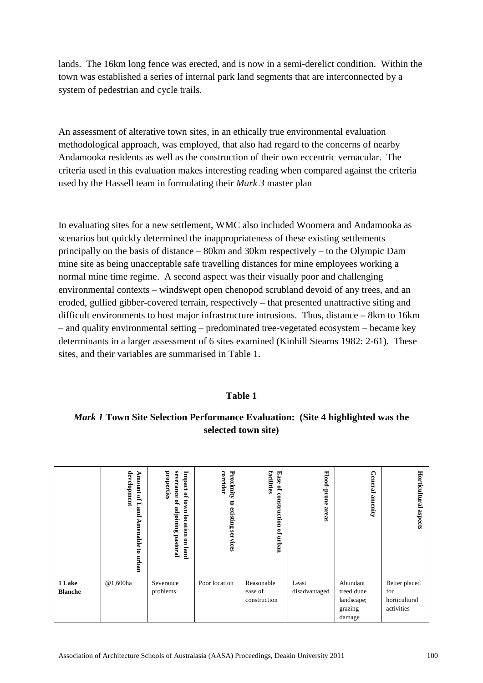lands. The 16km long fence was erected, and is now in a semi-derelict condition. Within the town was established a series of internal park land segments that are interconnected by a system of pedestrian and cycle trails.

An assessment of alterative town sites, in an ethically true environmental evaluation methodological approach, was employed, that also had regard to the concerns of nearby Andamooka residents as well as the construction of their own eccentric vernacular. The criteria used in this evaluation makes interesting reading when compared against the criteria used by the Hassell team in formulating their *Mark 3* master plan

In evaluating sites for a new settlement, WMC also included Woomera and Andamooka as scenarios but quickly determined the inappropriateness of these existing settlements principally on the basis of distance – 80km and 30km respectively – to the Olympic Dam mine site as being unacceptable safe travelling distances for mine employees working a normal mine time regime. A second aspect was their visually poor and challenging environmental contexts – windswept open chenopod scrubland devoid of any trees, and an eroded, gullied gibber-covered terrain, respectively – that presented unattractive siting and difficult environments to host major infrastructure intrusions. Thus, distance – 8km to 16km – and quality environmental setting – predominated tree-vegetated ecosystem – became key determinants in a larger assessment of 6 sites examined (Kinhill Stearns 1982: 2-61). These sites, and their variables are summarised in Table 1.

## **Table 1**

*Mark 1* **Town Site Selection Performance Evaluation: (Site 4 highlighted was the selected town site)**

|                          | development<br>Amount<br><b>PLL</b><br>jand<br>D<br>Amenable<br>కె<br>urq.m | severance<br>properties<br>Impact of<br>town location<br>of adjoining<br>pastoral<br>on land | Proximity<br>corridor<br>5<br>existing<br>services | Ease<br>facilities<br>P,<br>construction<br>$\mathbf{Q}_\mathrm{c}$<br>urqun | Flood-prone areas      | General amenity        | Horticultural<br>aspects |
|--------------------------|-----------------------------------------------------------------------------|----------------------------------------------------------------------------------------------|----------------------------------------------------|------------------------------------------------------------------------------|------------------------|------------------------|--------------------------|
| 1 Lake<br><b>Blanche</b> | @1,600ha                                                                    | Severance<br>problems                                                                        | Poor location                                      | Reasonable<br>ease of                                                        | Least<br>disadvantaged | Abundant<br>treed dune | Better placed<br>for     |
|                          |                                                                             |                                                                                              |                                                    | construction                                                                 |                        | landscape;             | horticultural            |
|                          |                                                                             |                                                                                              |                                                    |                                                                              |                        | grazing                | activities               |
|                          |                                                                             |                                                                                              |                                                    |                                                                              |                        | damage                 |                          |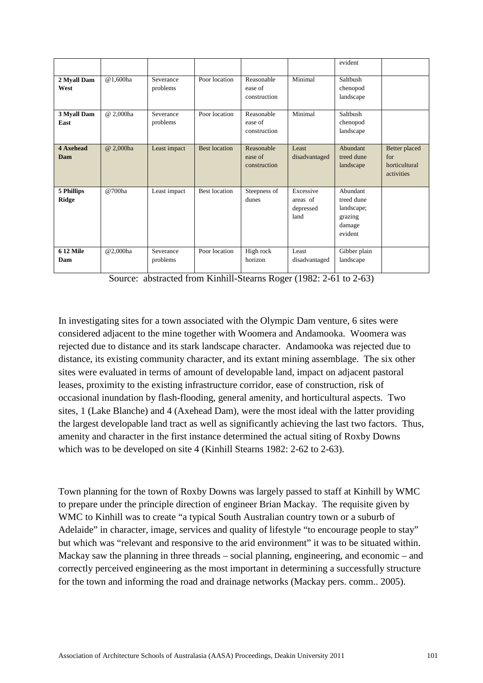|                            |           |                       |                      |                                       |                                            | evident                                                              |                                                            |
|----------------------------|-----------|-----------------------|----------------------|---------------------------------------|--------------------------------------------|----------------------------------------------------------------------|------------------------------------------------------------|
| 2 Myall Dam<br>West        | @1,600ha  | Severance<br>problems | Poor location        | Reasonable<br>ease of<br>construction | Minimal                                    | Saltbush<br>chenopod<br>landscape                                    |                                                            |
| 3 Myall Dam<br>East        | @ 2,000ha | Severance<br>problems | Poor location        | Reasonable<br>ease of<br>construction | Minimal                                    | Saltbush<br>chenopod<br>landscape                                    |                                                            |
| <b>4 Axehead</b><br>Dam    | @ 2,000ha | Least impact          | <b>Best location</b> | Reasonable<br>ease of<br>construction | Least<br>disadvantaged                     | Abundant<br>treed dune<br>landscape                                  | Better placed<br>for<br>horticultural<br><i>activities</i> |
| 5 Phillips<br><b>Ridge</b> | @700ha    | Least impact          | <b>Best location</b> | Steepness of<br>dunes                 | Excessive<br>areas of<br>depressed<br>land | Abundant<br>treed dune<br>landscape;<br>grazing<br>damage<br>evident |                                                            |
| <b>612 Mile</b><br>Dam     | @2,000ha  | Severance<br>problems | Poor location        | High rock<br>horizon                  | Least<br>disadvantaged                     | Gibber plain<br>landscape                                            |                                                            |

Source: abstracted from Kinhill-Stearns Roger (1982: 2-61 to 2-63)

In investigating sites for a town associated with the Olympic Dam venture, 6 sites were considered adjacent to the mine together with Woomera and Andamooka. Woomera was rejected due to distance and its stark landscape character. Andamooka was rejected due to distance, its existing community character, and its extant mining assemblage. The six other sites were evaluated in terms of amount of developable land, impact on adjacent pastoral leases, proximity to the existing infrastructure corridor, ease of construction, risk of occasional inundation by flash-flooding, general amenity, and horticultural aspects. Two sites, 1 (Lake Blanche) and 4 (Axehead Dam), were the most ideal with the latter providing the largest developable land tract as well as significantly achieving the last two factors. Thus, amenity and character in the first instance determined the actual siting of Roxby Downs which was to be developed on site 4 (Kinhill Stearns 1982: 2-62 to 2-63).

Town planning for the town of Roxby Downs was largely passed to staff at Kinhill by WMC to prepare under the principle direction of engineer Brian Mackay. The requisite given by WMC to Kinhill was to create "a typical South Australian country town or a suburb of Adelaide" in character, image, services and quality of lifestyle "to encourage people to stay" but which was "relevant and responsive to the arid environment" it was to be situated within. Mackay saw the planning in three threads – social planning, engineering, and economic – and correctly perceived engineering as the most important in determining a successfully structure for the town and informing the road and drainage networks (Mackay pers. comm.. 2005).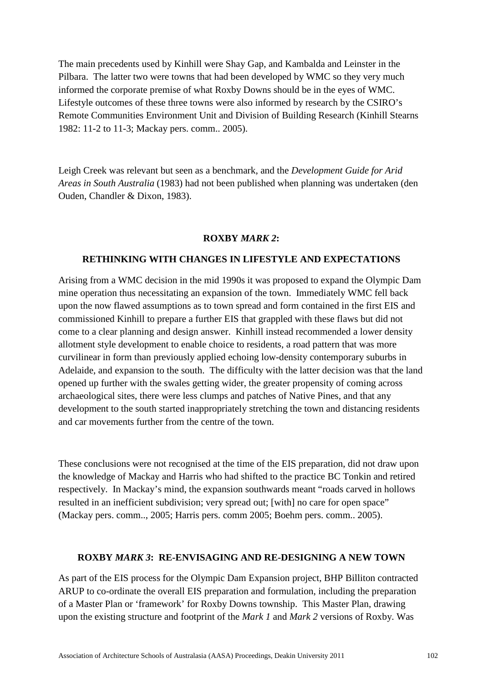The main precedents used by Kinhill were Shay Gap, and Kambalda and Leinster in the Pilbara. The latter two were towns that had been developed by WMC so they very much informed the corporate premise of what Roxby Downs should be in the eyes of WMC. Lifestyle outcomes of these three towns were also informed by research by the CSIRO's Remote Communities Environment Unit and Division of Building Research (Kinhill Stearns 1982: 11-2 to 11-3; Mackay pers. comm.. 2005).

Leigh Creek was relevant but seen as a benchmark, and the *Development Guide for Arid Areas in South Australia* (1983) had not been published when planning was undertaken (den Ouden, Chandler & Dixon, 1983).

## **ROXBY** *MARK 2***:**

#### **RETHINKING WITH CHANGES IN LIFESTYLE AND EXPECTATIONS**

Arising from a WMC decision in the mid 1990s it was proposed to expand the Olympic Dam mine operation thus necessitating an expansion of the town. Immediately WMC fell back upon the now flawed assumptions as to town spread and form contained in the first EIS and commissioned Kinhill to prepare a further EIS that grappled with these flaws but did not come to a clear planning and design answer. Kinhill instead recommended a lower density allotment style development to enable choice to residents, a road pattern that was more curvilinear in form than previously applied echoing low-density contemporary suburbs in Adelaide, and expansion to the south. The difficulty with the latter decision was that the land opened up further with the swales getting wider, the greater propensity of coming across archaeological sites, there were less clumps and patches of Native Pines, and that any development to the south started inappropriately stretching the town and distancing residents and car movements further from the centre of the town.

These conclusions were not recognised at the time of the EIS preparation, did not draw upon the knowledge of Mackay and Harris who had shifted to the practice BC Tonkin and retired respectively. In Mackay's mind, the expansion southwards meant "roads carved in hollows resulted in an inefficient subdivision; very spread out; [with] no care for open space" (Mackay pers. comm.., 2005; Harris pers. comm 2005; Boehm pers. comm.. 2005).

## **ROXBY** *MARK 3***: RE-ENVISAGING AND RE-DESIGNING A NEW TOWN**

As part of the EIS process for the Olympic Dam Expansion project, BHP Billiton contracted ARUP to co-ordinate the overall EIS preparation and formulation, including the preparation of a Master Plan or 'framework' for Roxby Downs township. This Master Plan, drawing upon the existing structure and footprint of the *Mark 1* and *Mark 2* versions of Roxby. Was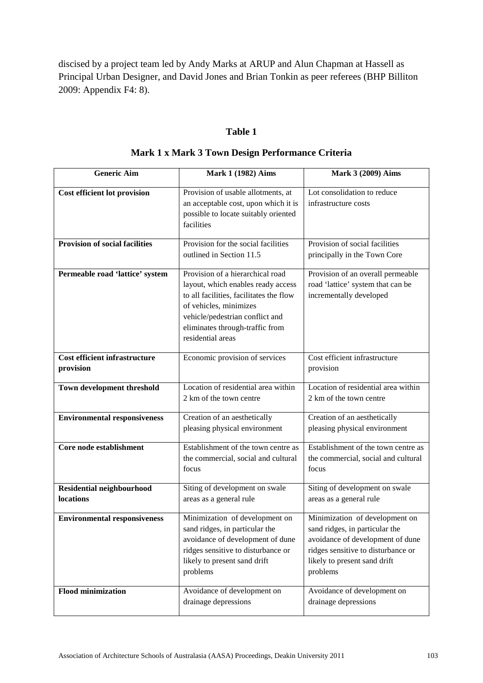discised by a project team led by Andy Marks at ARUP and Alun Chapman at Hassell as Principal Urban Designer, and David Jones and Brian Tonkin as peer referees (BHP Billiton 2009: Appendix F4: 8).

# **Table 1**

| <b>Generic Aim</b>                                   | Mark 1 (1982) Aims                                                                                                                                                                                                                     | Mark 3 (2009) Aims                                                                                                                                                                     |
|------------------------------------------------------|----------------------------------------------------------------------------------------------------------------------------------------------------------------------------------------------------------------------------------------|----------------------------------------------------------------------------------------------------------------------------------------------------------------------------------------|
| Cost efficient lot provision                         | Provision of usable allotments, at<br>an acceptable cost, upon which it is<br>possible to locate suitably oriented<br>facilities                                                                                                       | Lot consolidation to reduce<br>infrastructure costs                                                                                                                                    |
| <b>Provision of social facilities</b>                | Provision for the social facilities<br>outlined in Section 11.5                                                                                                                                                                        | Provision of social facilities<br>principally in the Town Core                                                                                                                         |
| Permeable road 'lattice' system                      | Provision of a hierarchical road<br>layout, which enables ready access<br>to all facilities, facilitates the flow<br>of vehicles, minimizes<br>vehicle/pedestrian conflict and<br>eliminates through-traffic from<br>residential areas | Provision of an overall permeable<br>road 'lattice' system that can be<br>incrementally developed                                                                                      |
| <b>Cost efficient infrastructure</b><br>provision    | Economic provision of services                                                                                                                                                                                                         | Cost efficient infrastructure<br>provision                                                                                                                                             |
| Town development threshold                           | Location of residential area within<br>2 km of the town centre                                                                                                                                                                         | Location of residential area within<br>2 km of the town centre                                                                                                                         |
| <b>Environmental responsiveness</b>                  | Creation of an aesthetically<br>pleasing physical environment                                                                                                                                                                          | Creation of an aesthetically<br>pleasing physical environment                                                                                                                          |
| Core node establishment                              | Establishment of the town centre as<br>the commercial, social and cultural<br>focus                                                                                                                                                    | Establishment of the town centre as<br>the commercial, social and cultural<br>focus                                                                                                    |
| <b>Residential neighbourhood</b><br><b>locations</b> | Siting of development on swale<br>areas as a general rule                                                                                                                                                                              | Siting of development on swale<br>areas as a general rule                                                                                                                              |
| <b>Environmental responsiveness</b>                  | Minimization of development on<br>sand ridges, in particular the<br>avoidance of development of dune<br>ridges sensitive to disturbance or<br>likely to present sand drift<br>problems                                                 | Minimization of development on<br>sand ridges, in particular the<br>avoidance of development of dune<br>ridges sensitive to disturbance or<br>likely to present sand drift<br>problems |
| <b>Flood minimization</b>                            | Avoidance of development on<br>drainage depressions                                                                                                                                                                                    | Avoidance of development on<br>drainage depressions                                                                                                                                    |

# **Mark 1 x Mark 3 Town Design Performance Criteria**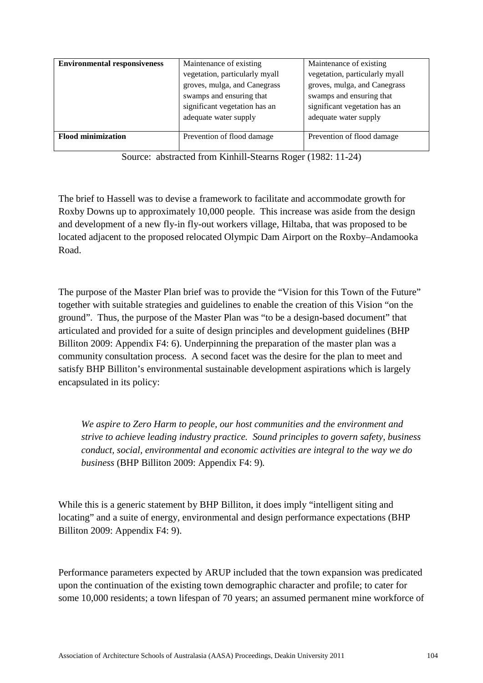| <b>Environmental responsiveness</b> | Maintenance of existing<br>vegetation, particularly myall<br>groves, mulga, and Canegrass | Maintenance of existing<br>vegetation, particularly myall<br>groves, mulga, and Canegrass |  |
|-------------------------------------|-------------------------------------------------------------------------------------------|-------------------------------------------------------------------------------------------|--|
|                                     | swamps and ensuring that<br>significant vegetation has an<br>adequate water supply        | swamps and ensuring that<br>significant vegetation has an<br>adequate water supply        |  |
| <b>Flood minimization</b>           | Prevention of flood damage                                                                | Prevention of flood damage                                                                |  |

Source: abstracted from Kinhill-Stearns Roger (1982: 11-24)

The brief to Hassell was to devise a framework to facilitate and accommodate growth for Roxby Downs up to approximately 10,000 people. This increase was aside from the design and development of a new fly-in fly-out workers village, Hiltaba, that was proposed to be located adjacent to the proposed relocated Olympic Dam Airport on the Roxby–Andamooka Road.

The purpose of the Master Plan brief was to provide the "Vision for this Town of the Future" together with suitable strategies and guidelines to enable the creation of this Vision "on the ground". Thus, the purpose of the Master Plan was "to be a design-based document" that articulated and provided for a suite of design principles and development guidelines (BHP Billiton 2009: Appendix F4: 6). Underpinning the preparation of the master plan was a community consultation process. A second facet was the desire for the plan to meet and satisfy BHP Billiton's environmental sustainable development aspirations which is largely encapsulated in its policy:

*We aspire to Zero Harm to people, our host communities and the environment and strive to achieve leading industry practice. Sound principles to govern safety, business conduct, social, environmental and economic activities are integral to the way we do business* (BHP Billiton 2009: Appendix F4: 9)*.*

While this is a generic statement by BHP Billiton, it does imply "intelligent siting and locating" and a suite of energy, environmental and design performance expectations (BHP Billiton 2009: Appendix F4: 9).

Performance parameters expected by ARUP included that the town expansion was predicated upon the continuation of the existing town demographic character and profile; to cater for some 10,000 residents; a town lifespan of 70 years; an assumed permanent mine workforce of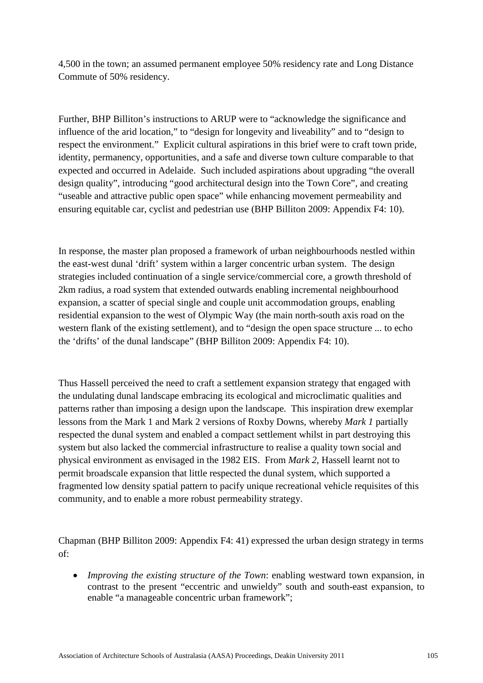4,500 in the town; an assumed permanent employee 50% residency rate and Long Distance Commute of 50% residency.

Further, BHP Billiton's instructions to ARUP were to "acknowledge the significance and influence of the arid location," to "design for longevity and liveability" and to "design to respect the environment." Explicit cultural aspirations in this brief were to craft town pride, identity, permanency, opportunities, and a safe and diverse town culture comparable to that expected and occurred in Adelaide. Such included aspirations about upgrading "the overall design quality", introducing "good architectural design into the Town Core", and creating "useable and attractive public open space" while enhancing movement permeability and ensuring equitable car, cyclist and pedestrian use (BHP Billiton 2009: Appendix F4: 10).

In response, the master plan proposed a framework of urban neighbourhoods nestled within the east-west dunal 'drift' system within a larger concentric urban system. The design strategies included continuation of a single service/commercial core, a growth threshold of 2km radius, a road system that extended outwards enabling incremental neighbourhood expansion, a scatter of special single and couple unit accommodation groups, enabling residential expansion to the west of Olympic Way (the main north-south axis road on the western flank of the existing settlement), and to "design the open space structure ... to echo the 'drifts' of the dunal landscape" (BHP Billiton 2009: Appendix F4: 10).

Thus Hassell perceived the need to craft a settlement expansion strategy that engaged with the undulating dunal landscape embracing its ecological and microclimatic qualities and patterns rather than imposing a design upon the landscape. This inspiration drew exemplar lessons from the Mark 1 and Mark 2 versions of Roxby Downs, whereby *Mark 1* partially respected the dunal system and enabled a compact settlement whilst in part destroying this system but also lacked the commercial infrastructure to realise a quality town social and physical environment as envisaged in the 1982 EIS. From *Mark 2*, Hassell learnt not to permit broadscale expansion that little respected the dunal system, which supported a fragmented low density spatial pattern to pacify unique recreational vehicle requisites of this community, and to enable a more robust permeability strategy.

Chapman (BHP Billiton 2009: Appendix F4: 41) expressed the urban design strategy in terms of:

• *Improving the existing structure of the Town*: enabling westward town expansion, in contrast to the present "eccentric and unwieldy" south and south-east expansion, to enable "a manageable concentric urban framework";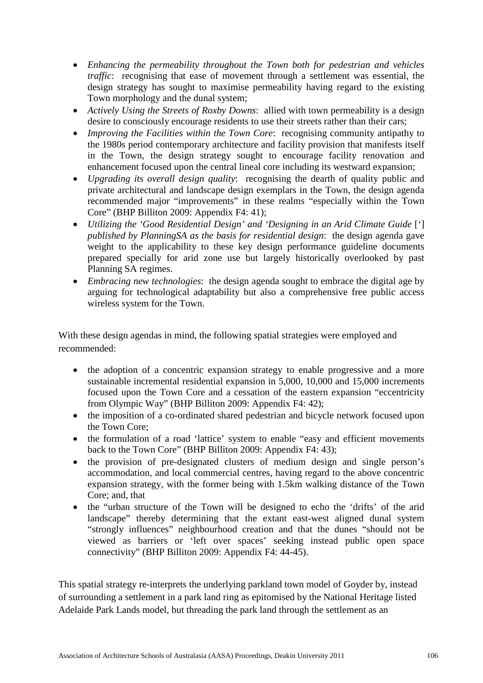- *Enhancing the permeability throughout the Town both for pedestrian and vehicles traffic*: recognising that ease of movement through a settlement was essential, the design strategy has sought to maximise permeability having regard to the existing Town morphology and the dunal system;
- *Actively Using the Streets of Roxby Downs*: allied with town permeability is a design desire to consciously encourage residents to use their streets rather than their cars;
- *Improving the Facilities within the Town Core*: recognising community antipathy to the 1980s period contemporary architecture and facility provision that manifests itself in the Town, the design strategy sought to encourage facility renovation and enhancement focused upon the central lineal core including its westward expansion;
- *Upgrading its overall design quality*: recognising the dearth of quality public and private architectural and landscape design exemplars in the Town, the design agenda recommended major "improvements" in these realms "especially within the Town Core" (BHP Billiton 2009: Appendix F4: 41);
- *Utilizing the 'Good Residential Design' and 'Designing in an Arid Climate Guide* ['] *published by PlanningSA as the basis for residential design*: the design agenda gave weight to the applicability to these key design performance guideline documents prepared specially for arid zone use but largely historically overlooked by past Planning SA regimes.
- *Embracing new technologies*: the design agenda sought to embrace the digital age by arguing for technological adaptability but also a comprehensive free public access wireless system for the Town.

With these design agendas in mind, the following spatial strategies were employed and recommended:

- the adoption of a concentric expansion strategy to enable progressive and a more sustainable incremental residential expansion in 5,000, 10,000 and 15,000 increments focused upon the Town Core and a cessation of the eastern expansion "eccentricity from Olympic Way" (BHP Billiton 2009: Appendix F4: 42);
- the imposition of a co-ordinated shared pedestrian and bicycle network focused upon the Town Core;
- the formulation of a road 'lattice' system to enable "easy and efficient movements" back to the Town Core" (BHP Billiton 2009: Appendix F4: 43);
- the provision of pre-designated clusters of medium design and single person's accommodation, and local commercial centres, having regard to the above concentric expansion strategy, with the former being with 1.5km walking distance of the Town Core; and, that
- the "urban structure of the Town will be designed to echo the 'drifts' of the arid landscape" thereby determining that the extant east-west aligned dunal system "strongly influences" neighbourhood creation and that the dunes "should not be viewed as barriers or 'left over spaces' seeking instead public open space connectivity" (BHP Billiton 2009: Appendix F4: 44-45).

This spatial strategy re-interprets the underlying parkland town model of Goyder by, instead of surrounding a settlement in a park land ring as epitomised by the National Heritage listed Adelaide Park Lands model, but threading the park land through the settlement as an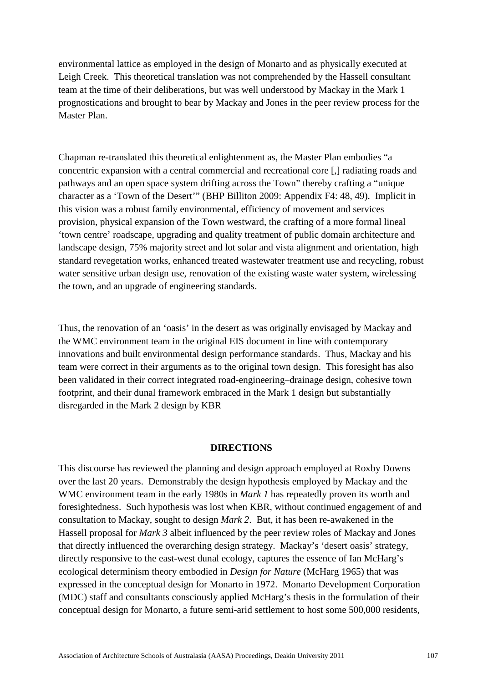environmental lattice as employed in the design of Monarto and as physically executed at Leigh Creek. This theoretical translation was not comprehended by the Hassell consultant team at the time of their deliberations, but was well understood by Mackay in the Mark 1 prognostications and brought to bear by Mackay and Jones in the peer review process for the Master Plan.

Chapman re-translated this theoretical enlightenment as, the Master Plan embodies "a concentric expansion with a central commercial and recreational core [,] radiating roads and pathways and an open space system drifting across the Town" thereby crafting a "unique character as a 'Town of the Desert'" (BHP Billiton 2009: Appendix F4: 48, 49). Implicit in this vision was a robust family environmental, efficiency of movement and services provision, physical expansion of the Town westward, the crafting of a more formal lineal 'town centre' roadscape, upgrading and quality treatment of public domain architecture and landscape design, 75% majority street and lot solar and vista alignment and orientation, high standard revegetation works, enhanced treated wastewater treatment use and recycling, robust water sensitive urban design use, renovation of the existing waste water system, wirelessing the town, and an upgrade of engineering standards.

Thus, the renovation of an 'oasis' in the desert as was originally envisaged by Mackay and the WMC environment team in the original EIS document in line with contemporary innovations and built environmental design performance standards. Thus, Mackay and his team were correct in their arguments as to the original town design. This foresight has also been validated in their correct integrated road-engineering–drainage design, cohesive town footprint, and their dunal framework embraced in the Mark 1 design but substantially disregarded in the Mark 2 design by KBR

#### **DIRECTIONS**

This discourse has reviewed the planning and design approach employed at Roxby Downs over the last 20 years. Demonstrably the design hypothesis employed by Mackay and the WMC environment team in the early 1980s in *Mark 1* has repeatedly proven its worth and foresightedness. Such hypothesis was lost when KBR, without continued engagement of and consultation to Mackay, sought to design *Mark 2*. But, it has been re-awakened in the Hassell proposal for *Mark 3* albeit influenced by the peer review roles of Mackay and Jones that directly influenced the overarching design strategy. Mackay's 'desert oasis' strategy, directly responsive to the east-west dunal ecology, captures the essence of Ian McHarg's ecological determinism theory embodied in *Design for Nature* (McHarg 1965) that was expressed in the conceptual design for Monarto in 1972. Monarto Development Corporation (MDC) staff and consultants consciously applied McHarg's thesis in the formulation of their conceptual design for Monarto, a future semi-arid settlement to host some 500,000 residents,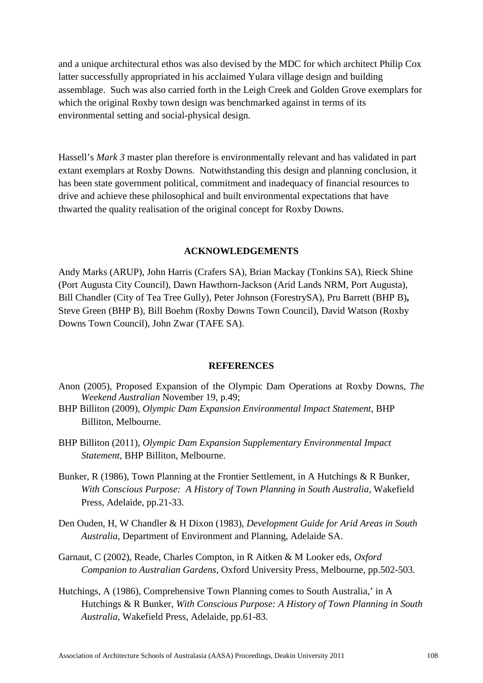and a unique architectural ethos was also devised by the MDC for which architect Philip Cox latter successfully appropriated in his acclaimed Yulara village design and building assemblage. Such was also carried forth in the Leigh Creek and Golden Grove exemplars for which the original Roxby town design was benchmarked against in terms of its environmental setting and social-physical design.

Hassell's *Mark 3* master plan therefore is environmentally relevant and has validated in part extant exemplars at Roxby Downs. Notwithstanding this design and planning conclusion, it has been state government political, commitment and inadequacy of financial resources to drive and achieve these philosophical and built environmental expectations that have thwarted the quality realisation of the original concept for Roxby Downs.

#### **ACKNOWLEDGEMENTS**

Andy Marks (ARUP), John Harris (Crafers SA), Brian Mackay (Tonkins SA), Rieck Shine (Port Augusta City Council), Dawn Hawthorn-Jackson (Arid Lands NRM, Port Augusta), Bill Chandler (City of Tea Tree Gully), Peter Johnson (ForestrySA), Pru Barrett (BHP B)**,**  Steve Green (BHP B), Bill Boehm (Roxby Downs Town Council), David Watson (Roxby Downs Town Council), John Zwar (TAFE SA).

#### **REFERENCES**

- Anon (2005), Proposed Expansion of the Olympic Dam Operations at Roxby Downs, *The Weekend Australian* November 19, p.49;
- BHP Billiton (2009), *Olympic Dam Expansion Environmental Impact Statement,* BHP Billiton, Melbourne.
- BHP Billiton (2011), *Olympic Dam Expansion Supplementary Environmental Impact Statement,* BHP Billiton, Melbourne.
- Bunker, R (1986), Town Planning at the Frontier Settlement, in A Hutchings & R Bunker, *With Conscious Purpose: A History of Town Planning in South Australia*, Wakefield Press, Adelaide, pp.21-33.
- Den Ouden, H, W Chandler & H Dixon (1983), *Development Guide for Arid Areas in South Australia*, Department of Environment and Planning, Adelaide SA.
- Garnaut, C (2002), Reade, Charles Compton, in R Aitken & M Looker eds, *Oxford Companion to Australian Gardens*, Oxford University Press, Melbourne, pp.502-503.
- Hutchings, A (1986), Comprehensive Town Planning comes to South Australia,' in A Hutchings & R Bunker, *With Conscious Purpose: A History of Town Planning in South Australia*, Wakefield Press, Adelaide, pp.61-83.